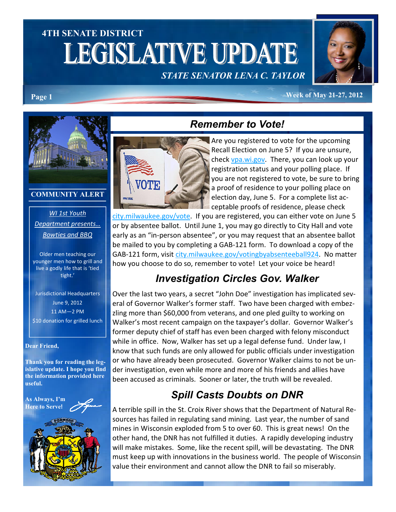# 4TH SENATE DISTRICT LEGISLATIVE UPDATE STATE SENATOR LENA C. TAYLOR



#### Page 1 Week of May 21-27, 2012



#### COMMUNITY ALERT

### WI 1st Youth Department presents… Bowties and BBQ

Older men teaching our younger men how to grill and live a godly life that is 'tied tight.'

Jurisdictional Headquarters June 9, 2012 11 AM—2 PM \$10 donation for grilled lunch

#### Dear Friend,

Thank you for reading the legislative update. I hope you find the information provided here useful.





## Remember to Vote!



Are you registered to vote for the upcoming Recall Election on June 5? If you are unsure, check vpa.wi.gov. There, you can look up your registration status and your polling place. If you are not registered to vote, be sure to bring a proof of residence to your polling place on election day, June 5. For a complete list acceptable proofs of residence, please check

city.milwaukee.gov/vote. If you are registered, you can either vote on June 5 or by absentee ballot. Until June 1, you may go directly to City Hall and vote early as an "in-person absentee", or you may request that an absentee ballot be mailed to you by completing a GAB-121 form. To download a copy of the GAB-121 form, visit city.milwaukee.gov/votingbyabsenteeball924. No matter how you choose to do so, remember to vote! Let your voice be heard!

## Investigation Circles Gov. Walker

Over the last two years, a secret "John Doe" investigation has implicated several of Governor Walker's former staff. Two have been charged with embezzling more than \$60,000 from veterans, and one pled guilty to working on Walker's most recent campaign on the taxpayer's dollar. Governor Walker's former deputy chief of staff has even been charged with felony misconduct while in office. Now, Walker has set up a legal defense fund. Under law, I know that such funds are only allowed for public officials under investigation or who have already been prosecuted. Governor Walker claims to not be under investigation, even while more and more of his friends and allies have been accused as criminals. Sooner or later, the truth will be revealed.

## Spill Casts Doubts on DNR

A terrible spill in the St. Croix River shows that the Department of Natural Resources has failed in regulating sand mining. Last year, the number of sand mines in Wisconsin exploded from 5 to over 60. This is great news! On the other hand, the DNR has not fulfilled it duties. A rapidly developing industry will make mistakes. Some, like the recent spill, will be devastating. The DNR must keep up with innovations in the business world. The people of Wisconsin value their environment and cannot allow the DNR to fail so miserably.